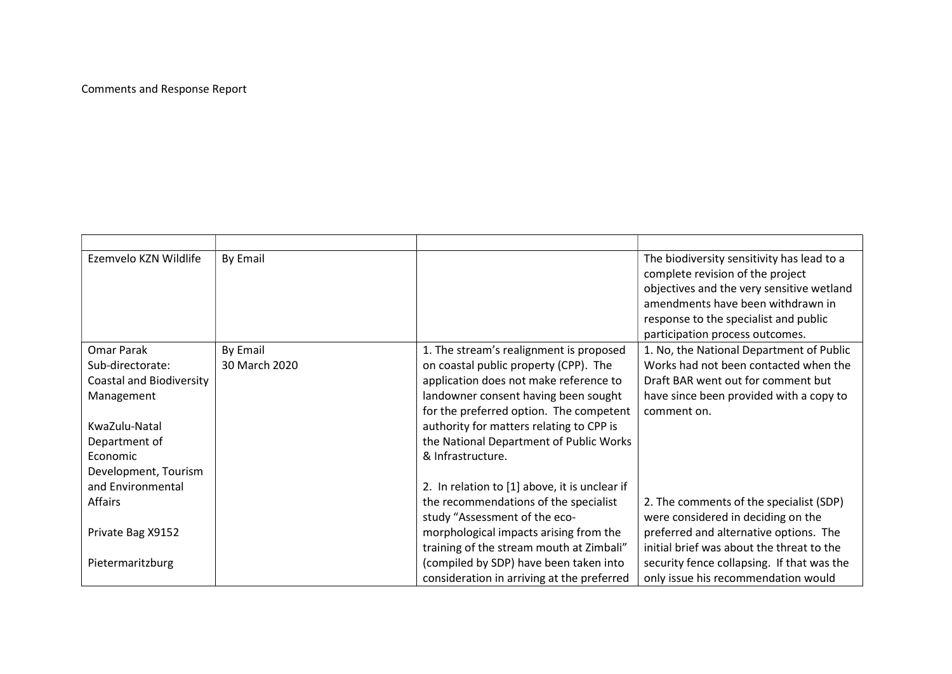## Comments and Response Report

| Ezemvelo KZN Wildlife           | By Email      |                                               | The biodiversity sensitivity has lead to a |
|---------------------------------|---------------|-----------------------------------------------|--------------------------------------------|
|                                 |               |                                               | complete revision of the project           |
|                                 |               |                                               | objectives and the very sensitive wetland  |
|                                 |               |                                               | amendments have been withdrawn in          |
|                                 |               |                                               | response to the specialist and public      |
|                                 |               |                                               | participation process outcomes.            |
| Omar Parak                      | By Email      | 1. The stream's realignment is proposed       | 1. No, the National Department of Public   |
| Sub-directorate:                | 30 March 2020 | on coastal public property (CPP). The         | Works had not been contacted when the      |
| <b>Coastal and Biodiversity</b> |               | application does not make reference to        | Draft BAR went out for comment but         |
| Management                      |               | landowner consent having been sought          | have since been provided with a copy to    |
|                                 |               | for the preferred option. The competent       | comment on.                                |
| KwaZulu-Natal                   |               | authority for matters relating to CPP is      |                                            |
| Department of                   |               | the National Department of Public Works       |                                            |
| Economic                        |               | & Infrastructure.                             |                                            |
| Development, Tourism            |               |                                               |                                            |
| and Environmental               |               | 2. In relation to [1] above, it is unclear if |                                            |
| Affairs                         |               | the recommendations of the specialist         | 2. The comments of the specialist (SDP)    |
|                                 |               | study "Assessment of the eco-                 | were considered in deciding on the         |
| Private Bag X9152               |               | morphological impacts arising from the        | preferred and alternative options. The     |
|                                 |               | training of the stream mouth at Zimbali"      | initial brief was about the threat to the  |
| Pietermaritzburg                |               | (compiled by SDP) have been taken into        | security fence collapsing. If that was the |
|                                 |               | consideration in arriving at the preferred    | only issue his recommendation would        |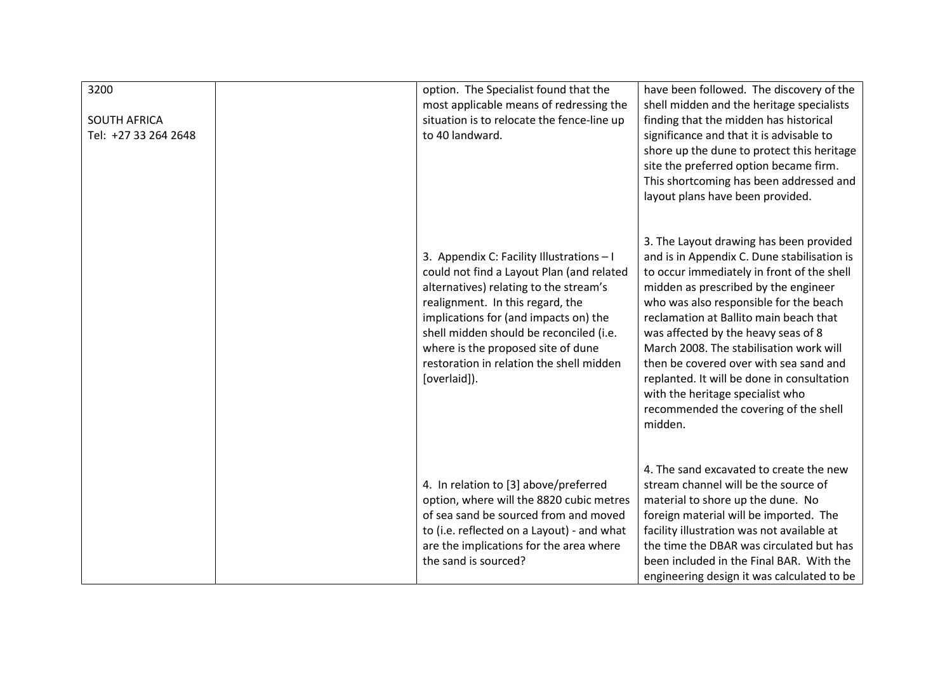| 3200<br><b>SOUTH AFRICA</b><br>Tel: +27 33 264 2648 | option. The Specialist found that the<br>most applicable means of redressing the<br>situation is to relocate the fence-line up<br>to 40 landward.                                                                                                                                                                                                          | have been followed. The discovery of the<br>shell midden and the heritage specialists<br>finding that the midden has historical<br>significance and that it is advisable to<br>shore up the dune to protect this heritage<br>site the preferred option became firm.<br>This shortcoming has been addressed and<br>layout plans have been provided.                                                                                                                                                                                 |
|-----------------------------------------------------|------------------------------------------------------------------------------------------------------------------------------------------------------------------------------------------------------------------------------------------------------------------------------------------------------------------------------------------------------------|------------------------------------------------------------------------------------------------------------------------------------------------------------------------------------------------------------------------------------------------------------------------------------------------------------------------------------------------------------------------------------------------------------------------------------------------------------------------------------------------------------------------------------|
|                                                     | 3. Appendix C: Facility Illustrations - I<br>could not find a Layout Plan (and related<br>alternatives) relating to the stream's<br>realignment. In this regard, the<br>implications for (and impacts on) the<br>shell midden should be reconciled (i.e.<br>where is the proposed site of dune<br>restoration in relation the shell midden<br>[overlaid]). | 3. The Layout drawing has been provided<br>and is in Appendix C. Dune stabilisation is<br>to occur immediately in front of the shell<br>midden as prescribed by the engineer<br>who was also responsible for the beach<br>reclamation at Ballito main beach that<br>was affected by the heavy seas of 8<br>March 2008. The stabilisation work will<br>then be covered over with sea sand and<br>replanted. It will be done in consultation<br>with the heritage specialist who<br>recommended the covering of the shell<br>midden. |
|                                                     | 4. In relation to [3] above/preferred<br>option, where will the 8820 cubic metres<br>of sea sand be sourced from and moved<br>to (i.e. reflected on a Layout) - and what<br>are the implications for the area where<br>the sand is sourced?                                                                                                                | 4. The sand excavated to create the new<br>stream channel will be the source of<br>material to shore up the dune. No<br>foreign material will be imported. The<br>facility illustration was not available at<br>the time the DBAR was circulated but has<br>been included in the Final BAR. With the<br>engineering design it was calculated to be                                                                                                                                                                                 |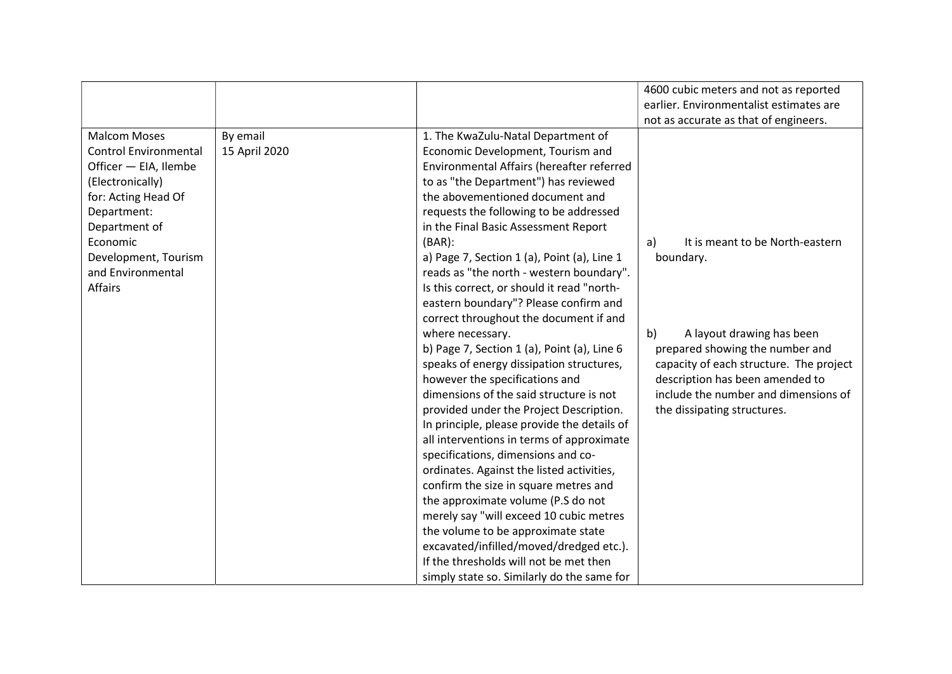|                                                                                                                                                                                                                                    |                           |                                                                                                                                                                                                                                                                                                                                                                                                                                                                                                                                                                                                                                                                                                                                                                                                                                                                                                                                                                                                                                                                                                                                                                                                                                                       | 4600 cubic meters and not as reported<br>earlier. Environmentalist estimates are                                                                                                                                                                                                                                       |
|------------------------------------------------------------------------------------------------------------------------------------------------------------------------------------------------------------------------------------|---------------------------|-------------------------------------------------------------------------------------------------------------------------------------------------------------------------------------------------------------------------------------------------------------------------------------------------------------------------------------------------------------------------------------------------------------------------------------------------------------------------------------------------------------------------------------------------------------------------------------------------------------------------------------------------------------------------------------------------------------------------------------------------------------------------------------------------------------------------------------------------------------------------------------------------------------------------------------------------------------------------------------------------------------------------------------------------------------------------------------------------------------------------------------------------------------------------------------------------------------------------------------------------------|------------------------------------------------------------------------------------------------------------------------------------------------------------------------------------------------------------------------------------------------------------------------------------------------------------------------|
| <b>Malcom Moses</b><br><b>Control Environmental</b><br>Officer - EIA, Ilembe<br>(Electronically)<br>for: Acting Head Of<br>Department:<br>Department of<br>Economic<br>Development, Tourism<br>and Environmental<br><b>Affairs</b> | By email<br>15 April 2020 | 1. The KwaZulu-Natal Department of<br>Economic Development, Tourism and<br>Environmental Affairs (hereafter referred<br>to as "the Department") has reviewed<br>the abovementioned document and<br>requests the following to be addressed<br>in the Final Basic Assessment Report<br>$(BAR)$ :<br>a) Page 7, Section 1 (a), Point (a), Line 1<br>reads as "the north - western boundary".<br>Is this correct, or should it read "north-<br>eastern boundary"? Please confirm and<br>correct throughout the document if and<br>where necessary.<br>b) Page 7, Section 1 (a), Point (a), Line $6$<br>speaks of energy dissipation structures,<br>however the specifications and<br>dimensions of the said structure is not<br>provided under the Project Description.<br>In principle, please provide the details of<br>all interventions in terms of approximate<br>specifications, dimensions and co-<br>ordinates. Against the listed activities,<br>confirm the size in square metres and<br>the approximate volume (P.S do not<br>merely say "will exceed 10 cubic metres<br>the volume to be approximate state<br>excavated/infilled/moved/dredged etc.).<br>If the thresholds will not be met then<br>simply state so. Similarly do the same for | not as accurate as that of engineers.<br>It is meant to be North-eastern<br>a)<br>boundary.<br>b)<br>A layout drawing has been<br>prepared showing the number and<br>capacity of each structure. The project<br>description has been amended to<br>include the number and dimensions of<br>the dissipating structures. |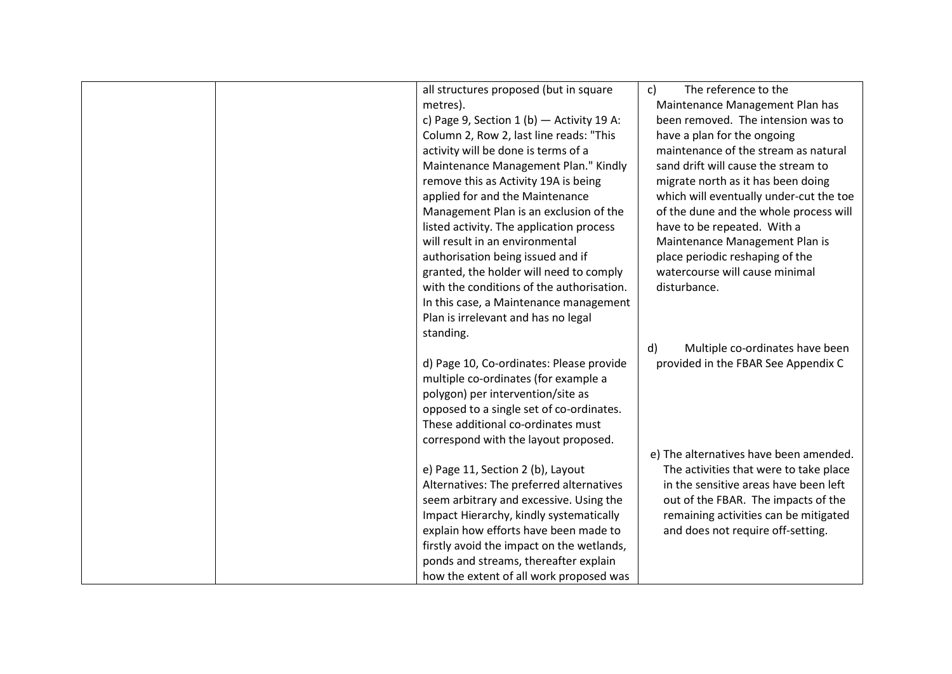|  | all structures proposed (but in square      | The reference to the<br>c)              |
|--|---------------------------------------------|-----------------------------------------|
|  | metres).                                    | Maintenance Management Plan has         |
|  | c) Page 9, Section 1 (b) $-$ Activity 19 A: | been removed. The intension was to      |
|  | Column 2, Row 2, last line reads: "This     | have a plan for the ongoing             |
|  | activity will be done is terms of a         | maintenance of the stream as natural    |
|  | Maintenance Management Plan." Kindly        | sand drift will cause the stream to     |
|  | remove this as Activity 19A is being        | migrate north as it has been doing      |
|  | applied for and the Maintenance             | which will eventually under-cut the toe |
|  | Management Plan is an exclusion of the      | of the dune and the whole process will  |
|  | listed activity. The application process    | have to be repeated. With a             |
|  | will result in an environmental             | Maintenance Management Plan is          |
|  | authorisation being issued and if           | place periodic reshaping of the         |
|  | granted, the holder will need to comply     | watercourse will cause minimal          |
|  | with the conditions of the authorisation.   | disturbance.                            |
|  | In this case, a Maintenance management      |                                         |
|  | Plan is irrelevant and has no legal         |                                         |
|  | standing.                                   |                                         |
|  |                                             | d)<br>Multiple co-ordinates have been   |
|  | d) Page 10, Co-ordinates: Please provide    | provided in the FBAR See Appendix C     |
|  | multiple co-ordinates (for example a        |                                         |
|  | polygon) per intervention/site as           |                                         |
|  | opposed to a single set of co-ordinates.    |                                         |
|  | These additional co-ordinates must          |                                         |
|  | correspond with the layout proposed.        |                                         |
|  |                                             | e) The alternatives have been amended.  |
|  | e) Page 11, Section 2 (b), Layout           | The activities that were to take place  |
|  | Alternatives: The preferred alternatives    | in the sensitive areas have been left   |
|  | seem arbitrary and excessive. Using the     | out of the FBAR. The impacts of the     |
|  | Impact Hierarchy, kindly systematically     | remaining activities can be mitigated   |
|  | explain how efforts have been made to       | and does not require off-setting.       |
|  | firstly avoid the impact on the wetlands,   |                                         |
|  | ponds and streams, thereafter explain       |                                         |
|  | how the extent of all work proposed was     |                                         |
|  |                                             |                                         |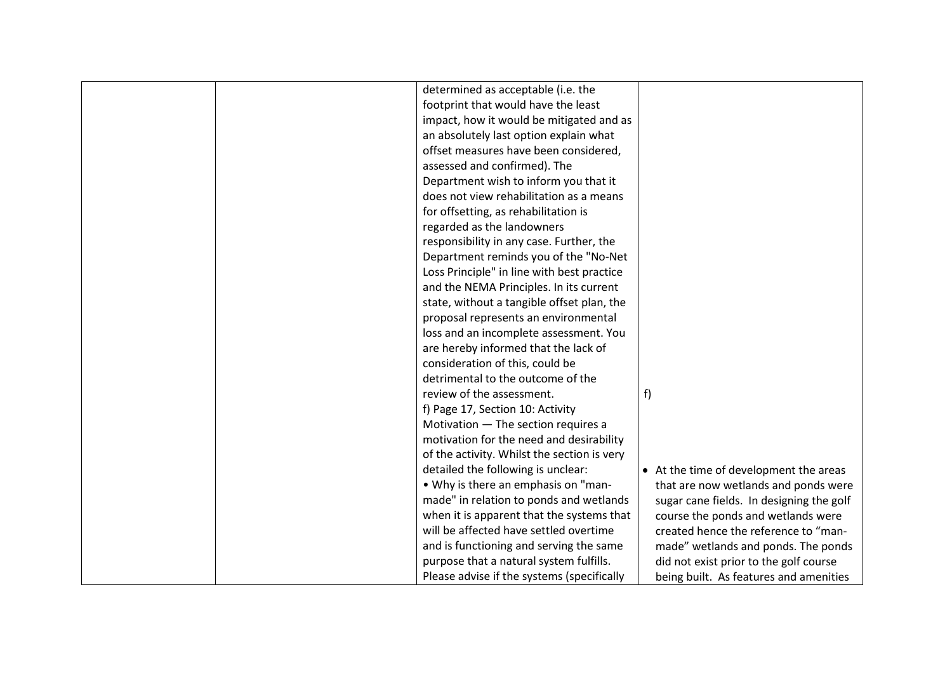|  | determined as acceptable (i.e. the          |                                          |
|--|---------------------------------------------|------------------------------------------|
|  | footprint that would have the least         |                                          |
|  | impact, how it would be mitigated and as    |                                          |
|  | an absolutely last option explain what      |                                          |
|  | offset measures have been considered,       |                                          |
|  | assessed and confirmed). The                |                                          |
|  | Department wish to inform you that it       |                                          |
|  | does not view rehabilitation as a means     |                                          |
|  | for offsetting, as rehabilitation is        |                                          |
|  | regarded as the landowners                  |                                          |
|  | responsibility in any case. Further, the    |                                          |
|  | Department reminds you of the "No-Net       |                                          |
|  | Loss Principle" in line with best practice  |                                          |
|  | and the NEMA Principles. In its current     |                                          |
|  | state, without a tangible offset plan, the  |                                          |
|  | proposal represents an environmental        |                                          |
|  | loss and an incomplete assessment. You      |                                          |
|  | are hereby informed that the lack of        |                                          |
|  | consideration of this, could be             |                                          |
|  | detrimental to the outcome of the           |                                          |
|  | review of the assessment.                   | f)                                       |
|  | f) Page 17, Section 10: Activity            |                                          |
|  | Motivation - The section requires a         |                                          |
|  | motivation for the need and desirability    |                                          |
|  | of the activity. Whilst the section is very |                                          |
|  | detailed the following is unclear:          | • At the time of development the areas   |
|  | • Why is there an emphasis on "man-         | that are now wetlands and ponds were     |
|  | made" in relation to ponds and wetlands     | sugar cane fields. In designing the golf |
|  | when it is apparent that the systems that   | course the ponds and wetlands were       |
|  | will be affected have settled overtime      | created hence the reference to "man-     |
|  | and is functioning and serving the same     | made" wetlands and ponds. The ponds      |
|  | purpose that a natural system fulfills.     | did not exist prior to the golf course   |
|  | Please advise if the systems (specifically  | being built. As features and amenities   |
|  |                                             |                                          |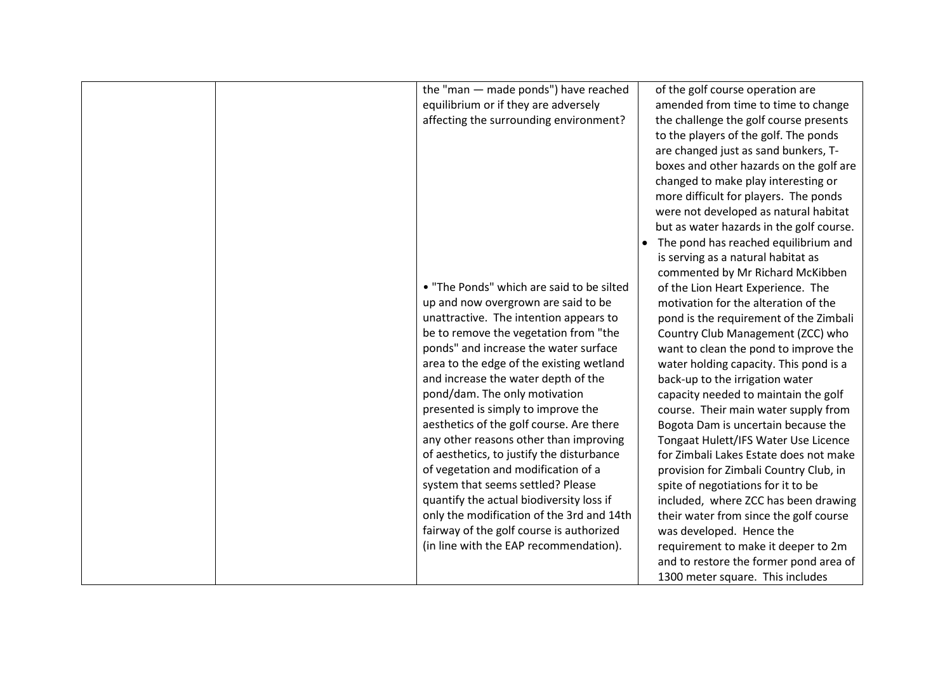|  | the "man - made ponds") have reached<br>equilibrium or if they are adversely<br>affecting the surrounding environment?<br>. "The Ponds" which are said to be silted<br>up and now overgrown are said to be<br>unattractive. The intention appears to<br>be to remove the vegetation from "the<br>ponds" and increase the water surface<br>area to the edge of the existing wetland<br>and increase the water depth of the<br>pond/dam. The only motivation<br>presented is simply to improve the<br>aesthetics of the golf course. Are there<br>any other reasons other than improving<br>of aesthetics, to justify the disturbance<br>of vegetation and modification of a<br>system that seems settled? Please | of the golf course operation are<br>amended from time to time to change<br>the challenge the golf course presents<br>to the players of the golf. The ponds<br>are changed just as sand bunkers, T-<br>boxes and other hazards on the golf are<br>changed to make play interesting or<br>more difficult for players. The ponds<br>were not developed as natural habitat<br>but as water hazards in the golf course.<br>The pond has reached equilibrium and<br>is serving as a natural habitat as<br>commented by Mr Richard McKibben<br>of the Lion Heart Experience. The<br>motivation for the alteration of the<br>pond is the requirement of the Zimbali<br>Country Club Management (ZCC) who<br>want to clean the pond to improve the<br>water holding capacity. This pond is a<br>back-up to the irrigation water<br>capacity needed to maintain the golf<br>course. Their main water supply from<br>Bogota Dam is uncertain because the<br>Tongaat Hulett/IFS Water Use Licence<br>for Zimbali Lakes Estate does not make<br>provision for Zimbali Country Club, in<br>spite of negotiations for it to be |
|--|-----------------------------------------------------------------------------------------------------------------------------------------------------------------------------------------------------------------------------------------------------------------------------------------------------------------------------------------------------------------------------------------------------------------------------------------------------------------------------------------------------------------------------------------------------------------------------------------------------------------------------------------------------------------------------------------------------------------|-----------------------------------------------------------------------------------------------------------------------------------------------------------------------------------------------------------------------------------------------------------------------------------------------------------------------------------------------------------------------------------------------------------------------------------------------------------------------------------------------------------------------------------------------------------------------------------------------------------------------------------------------------------------------------------------------------------------------------------------------------------------------------------------------------------------------------------------------------------------------------------------------------------------------------------------------------------------------------------------------------------------------------------------------------------------------------------------------------------------|
|  |                                                                                                                                                                                                                                                                                                                                                                                                                                                                                                                                                                                                                                                                                                                 |                                                                                                                                                                                                                                                                                                                                                                                                                                                                                                                                                                                                                                                                                                                                                                                                                                                                                                                                                                                                                                                                                                                 |
|  | quantify the actual biodiversity loss if<br>only the modification of the 3rd and 14th<br>fairway of the golf course is authorized<br>(in line with the EAP recommendation).                                                                                                                                                                                                                                                                                                                                                                                                                                                                                                                                     | included, where ZCC has been drawing<br>their water from since the golf course<br>was developed. Hence the<br>requirement to make it deeper to 2m<br>and to restore the former pond area of<br>1300 meter square. This includes                                                                                                                                                                                                                                                                                                                                                                                                                                                                                                                                                                                                                                                                                                                                                                                                                                                                                 |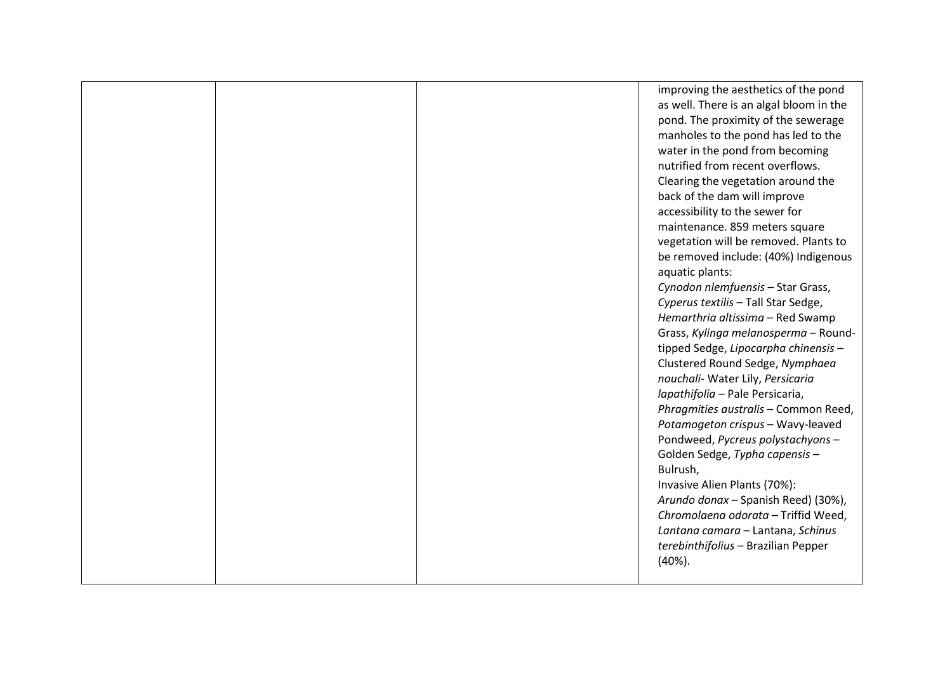|  | improving the aesthetics of the pond    |
|--|-----------------------------------------|
|  | as well. There is an algal bloom in the |
|  | pond. The proximity of the sewerage     |
|  | manholes to the pond has led to the     |
|  | water in the pond from becoming         |
|  | nutrified from recent overflows.        |
|  | Clearing the vegetation around the      |
|  | back of the dam will improve            |
|  | accessibility to the sewer for          |
|  | maintenance. 859 meters square          |
|  | vegetation will be removed. Plants to   |
|  | be removed include: (40%) Indigenous    |
|  | aquatic plants:                         |
|  | Cynodon nlemfuensis - Star Grass,       |
|  | Cyperus textilis - Tall Star Sedge,     |
|  | Hemarthria altissima - Red Swamp        |
|  | Grass, Kylinga melanosperma - Round-    |
|  | tipped Sedge, Lipocarpha chinensis-     |
|  | Clustered Round Sedge, Nymphaea         |
|  | nouchali- Water Lily, Persicaria        |
|  | Iapathifolia - Pale Persicaria,         |
|  | Phragmities australis - Common Reed,    |
|  | Potamogeton crispus - Wavy-leaved       |
|  | Pondweed, Pycreus polystachyons-        |
|  | Golden Sedge, Typha capensis-           |
|  | Bulrush,                                |
|  | Invasive Alien Plants (70%):            |
|  | Arundo donax - Spanish Reed) (30%),     |
|  | Chromolaena odorata - Triffid Weed,     |
|  | Lantana camara - Lantana, Schinus       |
|  | terebinthifolius - Brazilian Pepper     |
|  | (40%).                                  |
|  |                                         |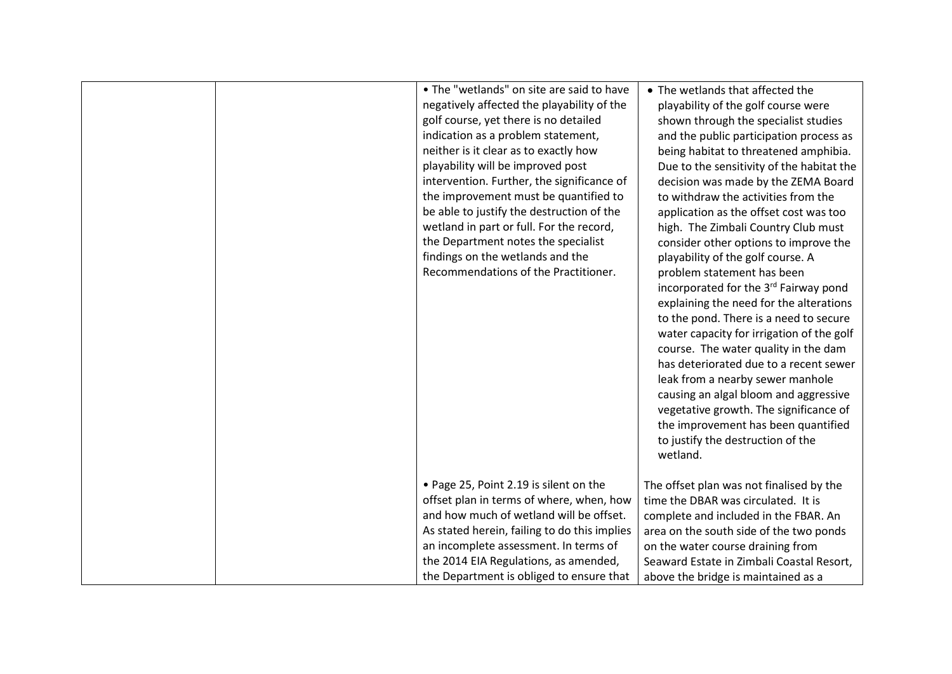|  | • The "wetlands" on site are said to have<br>negatively affected the playability of the<br>golf course, yet there is no detailed<br>indication as a problem statement,<br>neither is it clear as to exactly how<br>playability will be improved post<br>intervention. Further, the significance of<br>the improvement must be quantified to<br>be able to justify the destruction of the<br>wetland in part or full. For the record,<br>the Department notes the specialist<br>findings on the wetlands and the<br>Recommendations of the Practitioner. | • The wetlands that affected the<br>playability of the golf course were<br>shown through the specialist studies<br>and the public participation process as<br>being habitat to threatened amphibia.<br>Due to the sensitivity of the habitat the<br>decision was made by the ZEMA Board<br>to withdraw the activities from the<br>application as the offset cost was too<br>high. The Zimbali Country Club must<br>consider other options to improve the<br>playability of the golf course. A<br>problem statement has been<br>incorporated for the 3rd Fairway pond<br>explaining the need for the alterations<br>to the pond. There is a need to secure<br>water capacity for irrigation of the golf<br>course. The water quality in the dam<br>has deteriorated due to a recent sewer<br>leak from a nearby sewer manhole<br>causing an algal bloom and aggressive<br>vegetative growth. The significance of<br>the improvement has been quantified<br>to justify the destruction of the<br>wetland. |
|--|---------------------------------------------------------------------------------------------------------------------------------------------------------------------------------------------------------------------------------------------------------------------------------------------------------------------------------------------------------------------------------------------------------------------------------------------------------------------------------------------------------------------------------------------------------|---------------------------------------------------------------------------------------------------------------------------------------------------------------------------------------------------------------------------------------------------------------------------------------------------------------------------------------------------------------------------------------------------------------------------------------------------------------------------------------------------------------------------------------------------------------------------------------------------------------------------------------------------------------------------------------------------------------------------------------------------------------------------------------------------------------------------------------------------------------------------------------------------------------------------------------------------------------------------------------------------------|
|  | • Page 25, Point 2.19 is silent on the<br>offset plan in terms of where, when, how<br>and how much of wetland will be offset.<br>As stated herein, failing to do this implies<br>an incomplete assessment. In terms of<br>the 2014 EIA Regulations, as amended,<br>the Department is obliged to ensure that                                                                                                                                                                                                                                             | The offset plan was not finalised by the<br>time the DBAR was circulated. It is<br>complete and included in the FBAR. An<br>area on the south side of the two ponds<br>on the water course draining from<br>Seaward Estate in Zimbali Coastal Resort,<br>above the bridge is maintained as a                                                                                                                                                                                                                                                                                                                                                                                                                                                                                                                                                                                                                                                                                                            |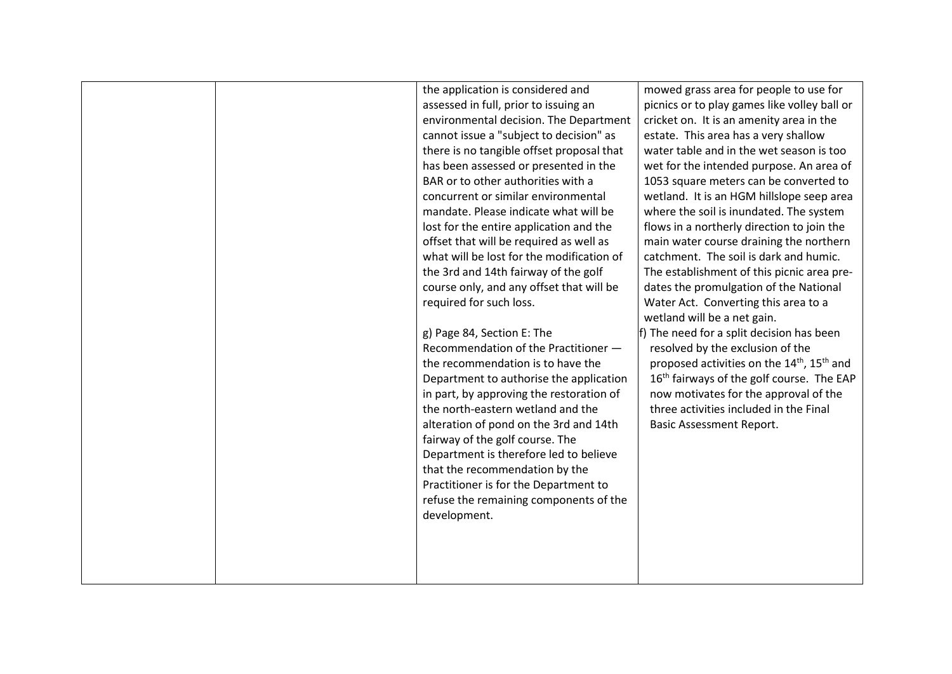|  | the application is considered and         | mowed grass area for people to use for                             |
|--|-------------------------------------------|--------------------------------------------------------------------|
|  | assessed in full, prior to issuing an     | picnics or to play games like volley ball or                       |
|  | environmental decision. The Department    | cricket on. It is an amenity area in the                           |
|  | cannot issue a "subject to decision" as   | estate. This area has a very shallow                               |
|  | there is no tangible offset proposal that | water table and in the wet season is too                           |
|  | has been assessed or presented in the     | wet for the intended purpose. An area of                           |
|  | BAR or to other authorities with a        | 1053 square meters can be converted to                             |
|  | concurrent or similar environmental       | wetland. It is an HGM hillslope seep area                          |
|  | mandate. Please indicate what will be     | where the soil is inundated. The system                            |
|  | lost for the entire application and the   | flows in a northerly direction to join the                         |
|  | offset that will be required as well as   | main water course draining the northern                            |
|  | what will be lost for the modification of | catchment. The soil is dark and humic.                             |
|  | the 3rd and 14th fairway of the golf      | The establishment of this picnic area pre-                         |
|  | course only, and any offset that will be  | dates the promulgation of the National                             |
|  | required for such loss.                   | Water Act. Converting this area to a                               |
|  |                                           | wetland will be a net gain.                                        |
|  | g) Page 84, Section E: The                | f) The need for a split decision has been                          |
|  | Recommendation of the Practitioner -      | resolved by the exclusion of the                                   |
|  | the recommendation is to have the         | proposed activities on the 14 <sup>th</sup> , 15 <sup>th</sup> and |
|  | Department to authorise the application   | 16 <sup>th</sup> fairways of the golf course. The EAP              |
|  | in part, by approving the restoration of  | now motivates for the approval of the                              |
|  | the north-eastern wetland and the         | three activities included in the Final                             |
|  | alteration of pond on the 3rd and 14th    | <b>Basic Assessment Report.</b>                                    |
|  | fairway of the golf course. The           |                                                                    |
|  | Department is therefore led to believe    |                                                                    |
|  | that the recommendation by the            |                                                                    |
|  | Practitioner is for the Department to     |                                                                    |
|  | refuse the remaining components of the    |                                                                    |
|  | development.                              |                                                                    |
|  |                                           |                                                                    |
|  |                                           |                                                                    |
|  |                                           |                                                                    |
|  |                                           |                                                                    |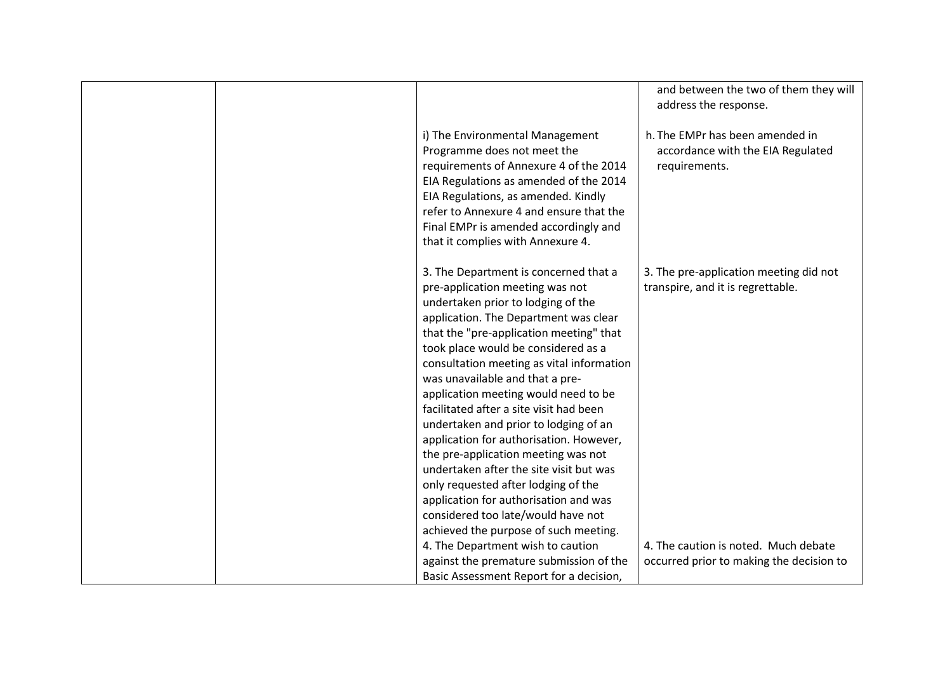|  |                                                                                                                                                                                                                                                                                                                                                                                                                                                                                                                                                                                                                                                                                                          | and between the two of them they will<br>address the response.                        |
|--|----------------------------------------------------------------------------------------------------------------------------------------------------------------------------------------------------------------------------------------------------------------------------------------------------------------------------------------------------------------------------------------------------------------------------------------------------------------------------------------------------------------------------------------------------------------------------------------------------------------------------------------------------------------------------------------------------------|---------------------------------------------------------------------------------------|
|  | i) The Environmental Management<br>Programme does not meet the<br>requirements of Annexure 4 of the 2014<br>EIA Regulations as amended of the 2014<br>EIA Regulations, as amended. Kindly<br>refer to Annexure 4 and ensure that the<br>Final EMPr is amended accordingly and<br>that it complies with Annexure 4.                                                                                                                                                                                                                                                                                                                                                                                       | h. The EMPr has been amended in<br>accordance with the EIA Regulated<br>requirements. |
|  | 3. The Department is concerned that a<br>pre-application meeting was not<br>undertaken prior to lodging of the<br>application. The Department was clear<br>that the "pre-application meeting" that<br>took place would be considered as a<br>consultation meeting as vital information<br>was unavailable and that a pre-<br>application meeting would need to be<br>facilitated after a site visit had been<br>undertaken and prior to lodging of an<br>application for authorisation. However,<br>the pre-application meeting was not<br>undertaken after the site visit but was<br>only requested after lodging of the<br>application for authorisation and was<br>considered too late/would have not | 3. The pre-application meeting did not<br>transpire, and it is regrettable.           |
|  | achieved the purpose of such meeting.<br>4. The Department wish to caution<br>against the premature submission of the<br>Basic Assessment Report for a decision,                                                                                                                                                                                                                                                                                                                                                                                                                                                                                                                                         | 4. The caution is noted. Much debate<br>occurred prior to making the decision to      |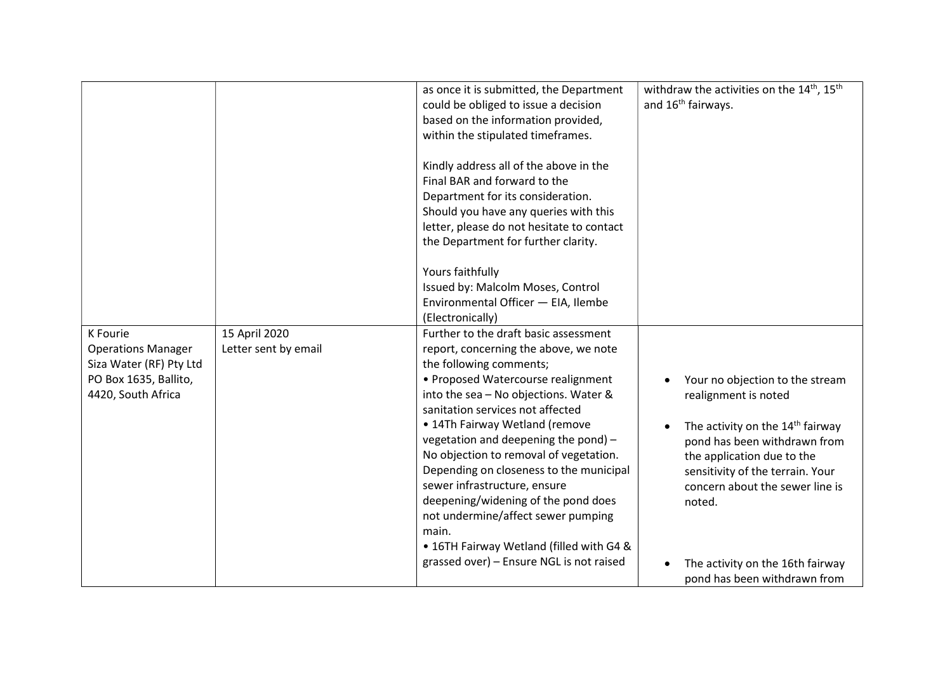|                                                                                                                 |                                       | as once it is submitted, the Department<br>could be obliged to issue a decision<br>based on the information provided,<br>within the stipulated timeframes.                                                                                                                                                                                                                                                                                                                                                                                                                                                | withdraw the activities on the 14 <sup>th</sup> , 15 <sup>th</sup><br>and 16 <sup>th</sup> fairways.                                                                                                                                                                                                                       |
|-----------------------------------------------------------------------------------------------------------------|---------------------------------------|-----------------------------------------------------------------------------------------------------------------------------------------------------------------------------------------------------------------------------------------------------------------------------------------------------------------------------------------------------------------------------------------------------------------------------------------------------------------------------------------------------------------------------------------------------------------------------------------------------------|----------------------------------------------------------------------------------------------------------------------------------------------------------------------------------------------------------------------------------------------------------------------------------------------------------------------------|
|                                                                                                                 |                                       | Kindly address all of the above in the<br>Final BAR and forward to the<br>Department for its consideration.<br>Should you have any queries with this<br>letter, please do not hesitate to contact<br>the Department for further clarity.                                                                                                                                                                                                                                                                                                                                                                  |                                                                                                                                                                                                                                                                                                                            |
|                                                                                                                 |                                       | Yours faithfully<br>Issued by: Malcolm Moses, Control<br>Environmental Officer - EIA, Ilembe<br>(Electronically)                                                                                                                                                                                                                                                                                                                                                                                                                                                                                          |                                                                                                                                                                                                                                                                                                                            |
| K Fourie<br><b>Operations Manager</b><br>Siza Water (RF) Pty Ltd<br>PO Box 1635, Ballito,<br>4420, South Africa | 15 April 2020<br>Letter sent by email | Further to the draft basic assessment<br>report, concerning the above, we note<br>the following comments;<br>• Proposed Watercourse realignment<br>into the sea - No objections. Water &<br>sanitation services not affected<br>• 14Th Fairway Wetland (remove<br>vegetation and deepening the pond) -<br>No objection to removal of vegetation.<br>Depending on closeness to the municipal<br>sewer infrastructure, ensure<br>deepening/widening of the pond does<br>not undermine/affect sewer pumping<br>main.<br>• 16TH Fairway Wetland (filled with G4 &<br>grassed over) - Ensure NGL is not raised | Your no objection to the stream<br>realignment is noted<br>The activity on the 14 <sup>th</sup> fairway<br>pond has been withdrawn from<br>the application due to the<br>sensitivity of the terrain. Your<br>concern about the sewer line is<br>noted.<br>The activity on the 16th fairway<br>pond has been withdrawn from |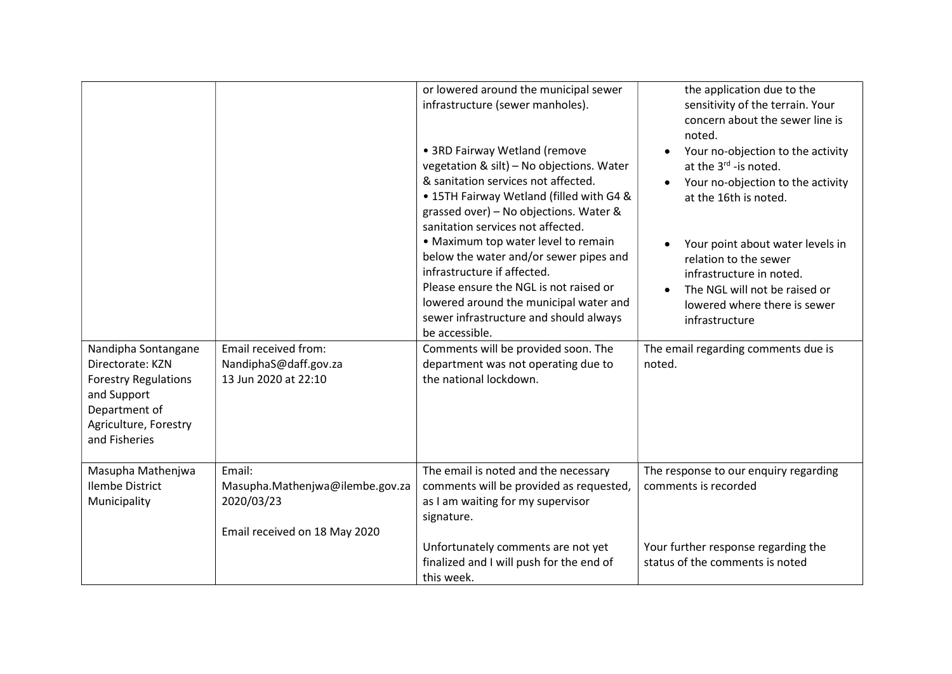| Nandipha Sontangane<br>Directorate: KZN<br><b>Forestry Regulations</b><br>and Support<br>Department of<br>Agriculture, Forestry<br>and Fisheries | Email received from:<br>NandiphaS@daff.gov.za<br>13 Jun 2020 at 22:10                    | or lowered around the municipal sewer<br>infrastructure (sewer manholes).<br>• 3RD Fairway Wetland (remove<br>vegetation & silt) - No objections. Water<br>& sanitation services not affected.<br>• 15TH Fairway Wetland (filled with G4 &<br>grassed over) - No objections. Water &<br>sanitation services not affected.<br>• Maximum top water level to remain<br>below the water and/or sewer pipes and<br>infrastructure if affected.<br>Please ensure the NGL is not raised or<br>lowered around the municipal water and<br>sewer infrastructure and should always<br>be accessible.<br>Comments will be provided soon. The<br>department was not operating due to<br>the national lockdown. | the application due to the<br>sensitivity of the terrain. Your<br>concern about the sewer line is<br>noted.<br>Your no-objection to the activity<br>at the 3 <sup>rd</sup> -is noted.<br>Your no-objection to the activity<br>at the 16th is noted.<br>Your point about water levels in<br>relation to the sewer<br>infrastructure in noted.<br>The NGL will not be raised or<br>lowered where there is sewer<br>infrastructure<br>The email regarding comments due is<br>noted. |
|--------------------------------------------------------------------------------------------------------------------------------------------------|------------------------------------------------------------------------------------------|---------------------------------------------------------------------------------------------------------------------------------------------------------------------------------------------------------------------------------------------------------------------------------------------------------------------------------------------------------------------------------------------------------------------------------------------------------------------------------------------------------------------------------------------------------------------------------------------------------------------------------------------------------------------------------------------------|----------------------------------------------------------------------------------------------------------------------------------------------------------------------------------------------------------------------------------------------------------------------------------------------------------------------------------------------------------------------------------------------------------------------------------------------------------------------------------|
| Masupha Mathenjwa<br><b>Ilembe District</b><br>Municipality                                                                                      | Email:<br>Masupha.Mathenjwa@ilembe.gov.za<br>2020/03/23<br>Email received on 18 May 2020 | The email is noted and the necessary<br>comments will be provided as requested,<br>as I am waiting for my supervisor<br>signature.<br>Unfortunately comments are not yet<br>finalized and I will push for the end of<br>this week.                                                                                                                                                                                                                                                                                                                                                                                                                                                                | The response to our enquiry regarding<br>comments is recorded<br>Your further response regarding the<br>status of the comments is noted                                                                                                                                                                                                                                                                                                                                          |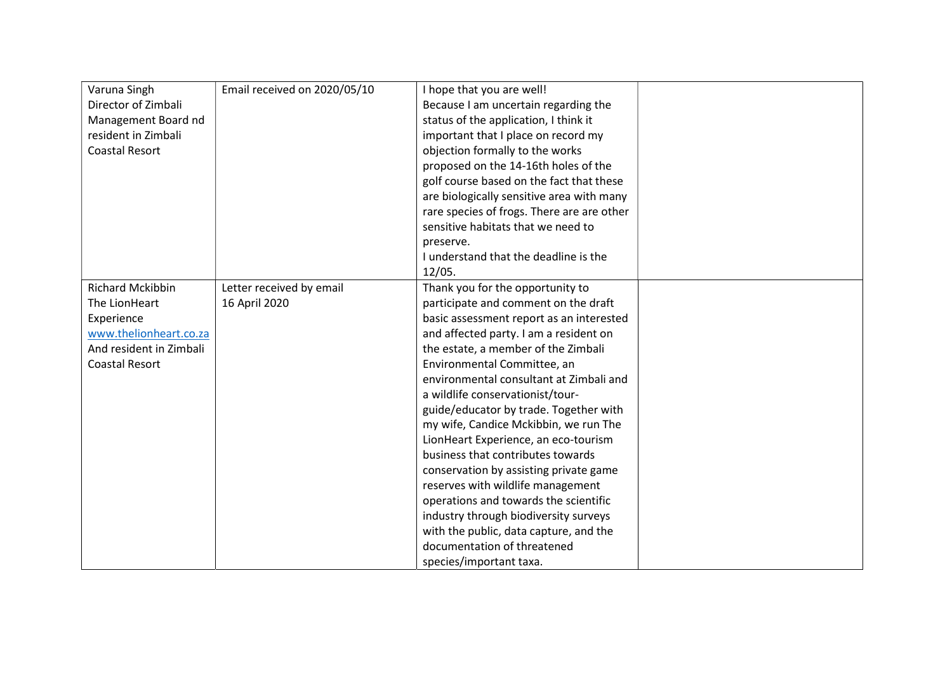| Varuna Singh            | Email received on 2020/05/10 | I hope that you are well!                  |  |
|-------------------------|------------------------------|--------------------------------------------|--|
| Director of Zimbali     |                              | Because I am uncertain regarding the       |  |
| Management Board nd     |                              | status of the application, I think it      |  |
| resident in Zimbali     |                              | important that I place on record my        |  |
| <b>Coastal Resort</b>   |                              | objection formally to the works            |  |
|                         |                              | proposed on the 14-16th holes of the       |  |
|                         |                              | golf course based on the fact that these   |  |
|                         |                              | are biologically sensitive area with many  |  |
|                         |                              | rare species of frogs. There are are other |  |
|                         |                              | sensitive habitats that we need to         |  |
|                         |                              | preserve.                                  |  |
|                         |                              | I understand that the deadline is the      |  |
|                         |                              | 12/05.                                     |  |
| <b>Richard Mckibbin</b> | Letter received by email     | Thank you for the opportunity to           |  |
| The LionHeart           | 16 April 2020                | participate and comment on the draft       |  |
| Experience              |                              | basic assessment report as an interested   |  |
| www.thelionheart.co.za  |                              | and affected party. I am a resident on     |  |
| And resident in Zimbali |                              | the estate, a member of the Zimbali        |  |
| Coastal Resort          |                              | Environmental Committee, an                |  |
|                         |                              | environmental consultant at Zimbali and    |  |
|                         |                              |                                            |  |
|                         |                              | a wildlife conservationist/tour-           |  |
|                         |                              | guide/educator by trade. Together with     |  |
|                         |                              | my wife, Candice Mckibbin, we run The      |  |
|                         |                              | LionHeart Experience, an eco-tourism       |  |
|                         |                              | business that contributes towards          |  |
|                         |                              | conservation by assisting private game     |  |
|                         |                              | reserves with wildlife management          |  |
|                         |                              | operations and towards the scientific      |  |
|                         |                              | industry through biodiversity surveys      |  |
|                         |                              | with the public, data capture, and the     |  |
|                         |                              | documentation of threatened                |  |
|                         |                              | species/important taxa.                    |  |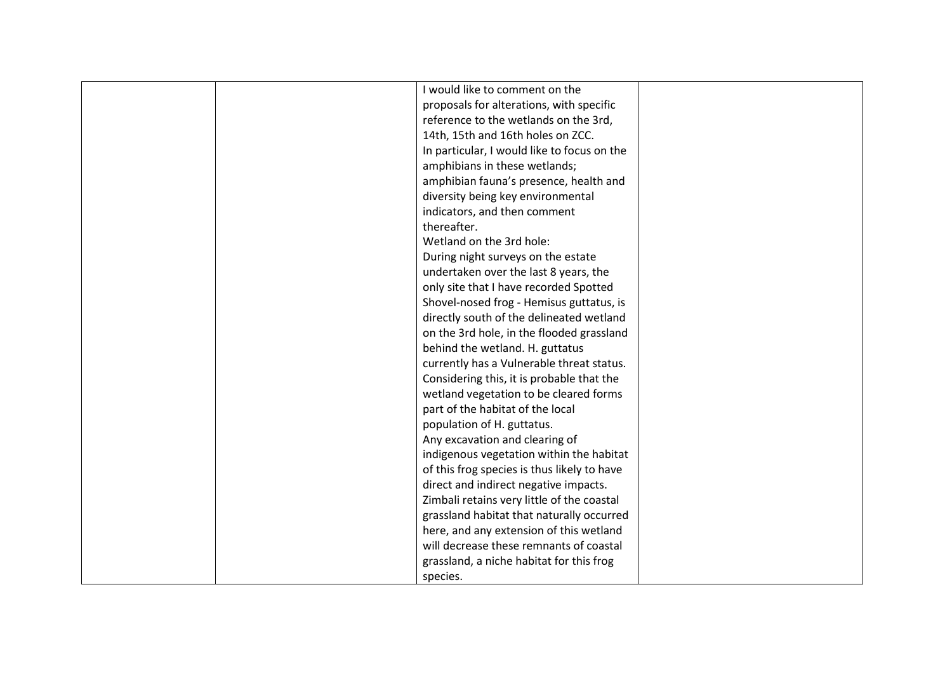|  | I would like to comment on the              |  |
|--|---------------------------------------------|--|
|  | proposals for alterations, with specific    |  |
|  | reference to the wetlands on the 3rd,       |  |
|  | 14th, 15th and 16th holes on ZCC.           |  |
|  | In particular, I would like to focus on the |  |
|  | amphibians in these wetlands;               |  |
|  | amphibian fauna's presence, health and      |  |
|  | diversity being key environmental           |  |
|  | indicators, and then comment                |  |
|  | thereafter.                                 |  |
|  | Wetland on the 3rd hole:                    |  |
|  | During night surveys on the estate          |  |
|  | undertaken over the last 8 years, the       |  |
|  | only site that I have recorded Spotted      |  |
|  |                                             |  |
|  | Shovel-nosed frog - Hemisus guttatus, is    |  |
|  | directly south of the delineated wetland    |  |
|  | on the 3rd hole, in the flooded grassland   |  |
|  | behind the wetland. H. guttatus             |  |
|  | currently has a Vulnerable threat status.   |  |
|  | Considering this, it is probable that the   |  |
|  | wetland vegetation to be cleared forms      |  |
|  | part of the habitat of the local            |  |
|  | population of H. guttatus.                  |  |
|  | Any excavation and clearing of              |  |
|  | indigenous vegetation within the habitat    |  |
|  | of this frog species is thus likely to have |  |
|  | direct and indirect negative impacts.       |  |
|  | Zimbali retains very little of the coastal  |  |
|  | grassland habitat that naturally occurred   |  |
|  | here, and any extension of this wetland     |  |
|  | will decrease these remnants of coastal     |  |
|  | grassland, a niche habitat for this frog    |  |
|  | species.                                    |  |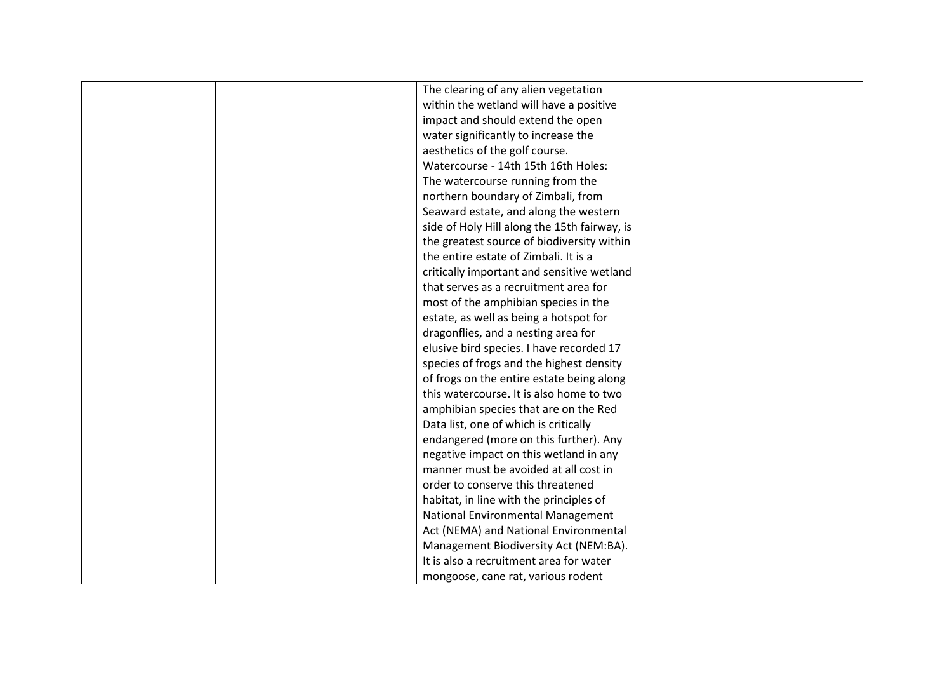|  | The clearing of any alien vegetation         |  |
|--|----------------------------------------------|--|
|  | within the wetland will have a positive      |  |
|  |                                              |  |
|  | impact and should extend the open            |  |
|  | water significantly to increase the          |  |
|  | aesthetics of the golf course.               |  |
|  | Watercourse - 14th 15th 16th Holes:          |  |
|  | The watercourse running from the             |  |
|  | northern boundary of Zimbali, from           |  |
|  | Seaward estate, and along the western        |  |
|  | side of Holy Hill along the 15th fairway, is |  |
|  | the greatest source of biodiversity within   |  |
|  | the entire estate of Zimbali. It is a        |  |
|  | critically important and sensitive wetland   |  |
|  | that serves as a recruitment area for        |  |
|  | most of the amphibian species in the         |  |
|  | estate, as well as being a hotspot for       |  |
|  | dragonflies, and a nesting area for          |  |
|  | elusive bird species. I have recorded 17     |  |
|  | species of frogs and the highest density     |  |
|  | of frogs on the entire estate being along    |  |
|  | this watercourse. It is also home to two     |  |
|  | amphibian species that are on the Red        |  |
|  | Data list, one of which is critically        |  |
|  | endangered (more on this further). Any       |  |
|  | negative impact on this wetland in any       |  |
|  | manner must be avoided at all cost in        |  |
|  | order to conserve this threatened            |  |
|  | habitat, in line with the principles of      |  |
|  | National Environmental Management            |  |
|  | Act (NEMA) and National Environmental        |  |
|  | Management Biodiversity Act (NEM:BA).        |  |
|  | It is also a recruitment area for water      |  |
|  | mongoose, cane rat, various rodent           |  |
|  |                                              |  |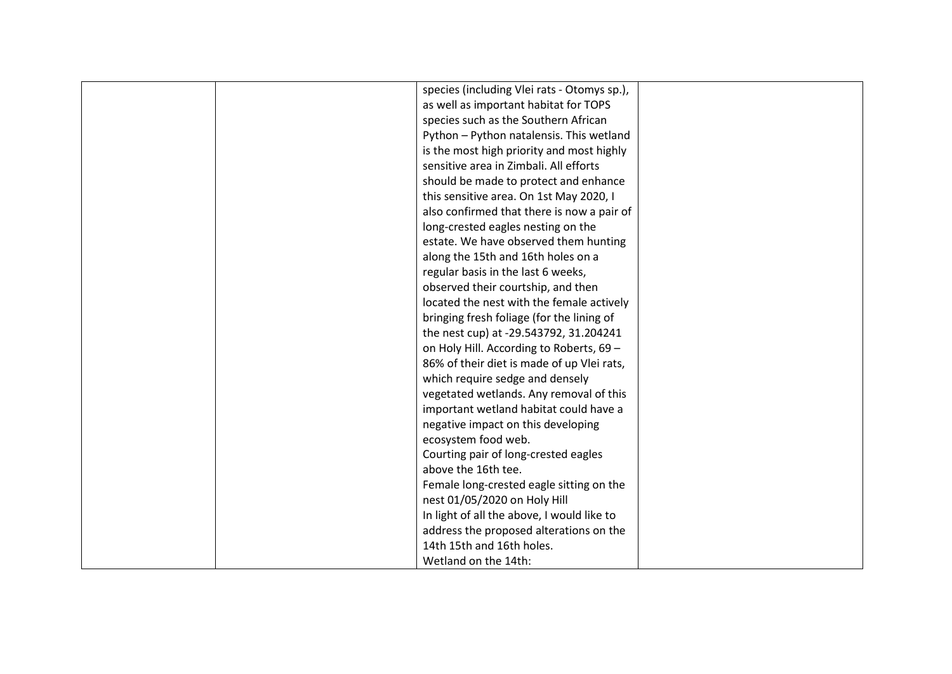| species (including Vlei rats - Otomys sp.), |  |
|---------------------------------------------|--|
| as well as important habitat for TOPS       |  |
| species such as the Southern African        |  |
| Python - Python natalensis. This wetland    |  |
| is the most high priority and most highly   |  |
| sensitive area in Zimbali. All efforts      |  |
| should be made to protect and enhance       |  |
| this sensitive area. On 1st May 2020, I     |  |
| also confirmed that there is now a pair of  |  |
| long-crested eagles nesting on the          |  |
| estate. We have observed them hunting       |  |
| along the 15th and 16th holes on a          |  |
| regular basis in the last 6 weeks,          |  |
| observed their courtship, and then          |  |
| located the nest with the female actively   |  |
| bringing fresh foliage (for the lining of   |  |
| the nest cup) at -29.543792, 31.204241      |  |
| on Holy Hill. According to Roberts, 69 -    |  |
| 86% of their diet is made of up Vlei rats,  |  |
| which require sedge and densely             |  |
| vegetated wetlands. Any removal of this     |  |
| important wetland habitat could have a      |  |
| negative impact on this developing          |  |
| ecosystem food web.                         |  |
| Courting pair of long-crested eagles        |  |
| above the 16th tee.                         |  |
| Female long-crested eagle sitting on the    |  |
| nest 01/05/2020 on Holy Hill                |  |
| In light of all the above, I would like to  |  |
| address the proposed alterations on the     |  |
| 14th 15th and 16th holes.                   |  |
| Wetland on the 14th:                        |  |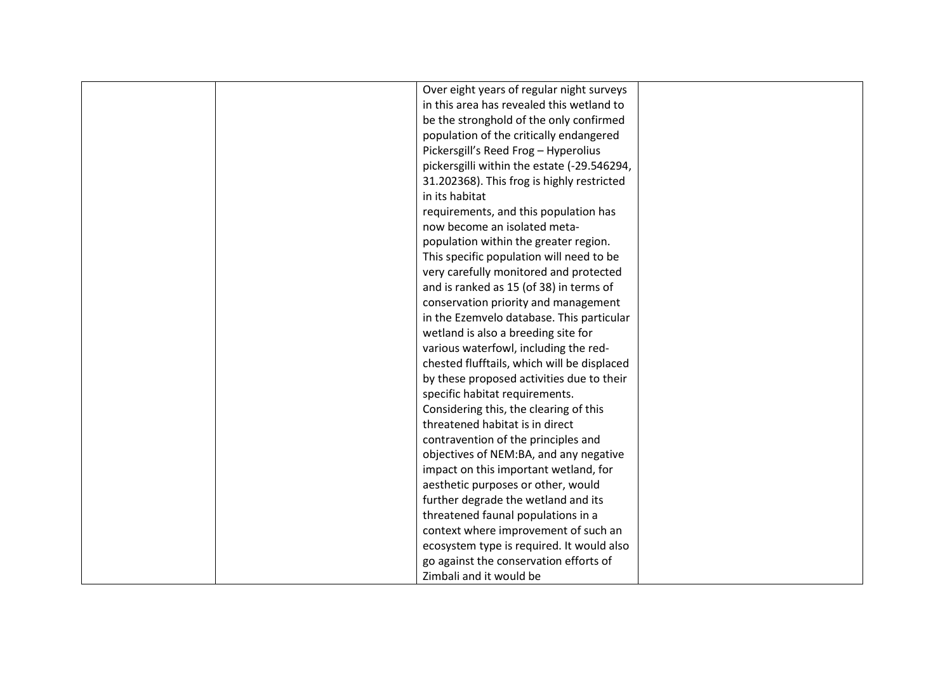| Over eight years of regular night surveys   |  |
|---------------------------------------------|--|
| in this area has revealed this wetland to   |  |
| be the stronghold of the only confirmed     |  |
| population of the critically endangered     |  |
| Pickersgill's Reed Frog - Hyperolius        |  |
| pickersgilli within the estate (-29.546294, |  |
| 31.202368). This frog is highly restricted  |  |
| in its habitat                              |  |
| requirements, and this population has       |  |
| now become an isolated meta-                |  |
| population within the greater region.       |  |
| This specific population will need to be    |  |
| very carefully monitored and protected      |  |
| and is ranked as 15 (of 38) in terms of     |  |
| conservation priority and management        |  |
| in the Ezemvelo database. This particular   |  |
| wetland is also a breeding site for         |  |
| various waterfowl, including the red-       |  |
| chested flufftails, which will be displaced |  |
| by these proposed activities due to their   |  |
| specific habitat requirements.              |  |
| Considering this, the clearing of this      |  |
| threatened habitat is in direct             |  |
| contravention of the principles and         |  |
| objectives of NEM:BA, and any negative      |  |
| impact on this important wetland, for       |  |
| aesthetic purposes or other, would          |  |
| further degrade the wetland and its         |  |
| threatened faunal populations in a          |  |
| context where improvement of such an        |  |
| ecosystem type is required. It would also   |  |
| go against the conservation efforts of      |  |
| Zimbali and it would be                     |  |
|                                             |  |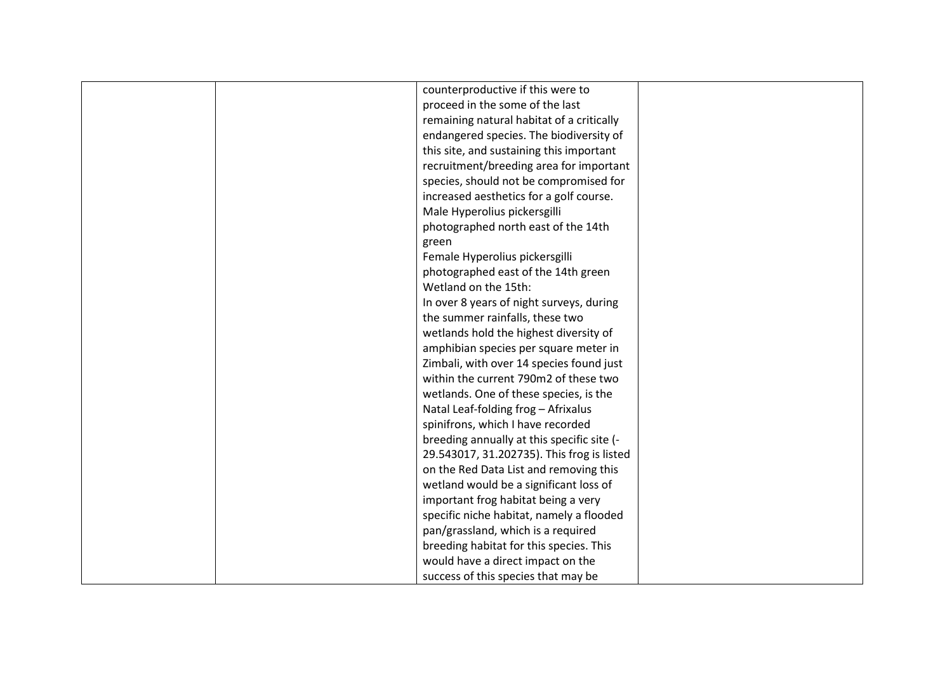| counterproductive if this were to          |
|--------------------------------------------|
|                                            |
| proceed in the some of the last            |
| remaining natural habitat of a critically  |
| endangered species. The biodiversity of    |
| this site, and sustaining this important   |
| recruitment/breeding area for important    |
| species, should not be compromised for     |
| increased aesthetics for a golf course.    |
| Male Hyperolius pickersgilli               |
| photographed north east of the 14th        |
| green                                      |
| Female Hyperolius pickersgilli             |
| photographed east of the 14th green        |
| Wetland on the 15th:                       |
| In over 8 years of night surveys, during   |
| the summer rainfalls, these two            |
| wetlands hold the highest diversity of     |
|                                            |
| amphibian species per square meter in      |
| Zimbali, with over 14 species found just   |
| within the current 790m2 of these two      |
| wetlands. One of these species, is the     |
| Natal Leaf-folding frog - Afrixalus        |
| spinifrons, which I have recorded          |
| breeding annually at this specific site (- |
| 29.543017, 31.202735). This frog is listed |
| on the Red Data List and removing this     |
| wetland would be a significant loss of     |
| important frog habitat being a very        |
| specific niche habitat, namely a flooded   |
| pan/grassland, which is a required         |
| breeding habitat for this species. This    |
| would have a direct impact on the          |
| success of this species that may be        |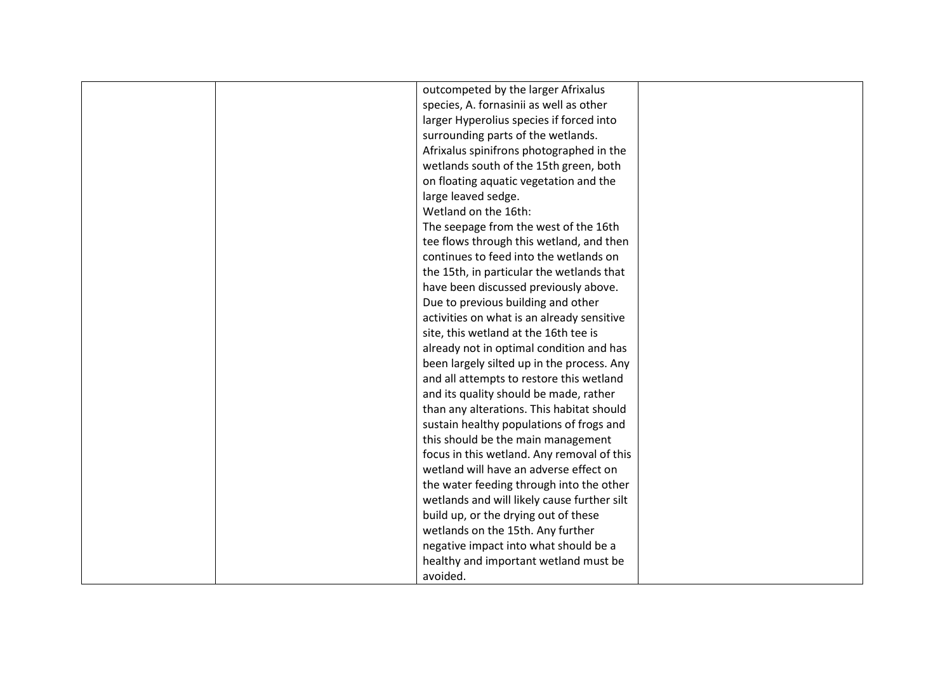|  | outcompeted by the larger Afrixalus         |  |
|--|---------------------------------------------|--|
|  | species, A. fornasinii as well as other     |  |
|  | larger Hyperolius species if forced into    |  |
|  | surrounding parts of the wetlands.          |  |
|  | Afrixalus spinifrons photographed in the    |  |
|  | wetlands south of the 15th green, both      |  |
|  | on floating aquatic vegetation and the      |  |
|  | large leaved sedge.                         |  |
|  | Wetland on the 16th:                        |  |
|  | The seepage from the west of the 16th       |  |
|  | tee flows through this wetland, and then    |  |
|  | continues to feed into the wetlands on      |  |
|  | the 15th, in particular the wetlands that   |  |
|  |                                             |  |
|  | have been discussed previously above.       |  |
|  | Due to previous building and other          |  |
|  | activities on what is an already sensitive  |  |
|  | site, this wetland at the 16th tee is       |  |
|  | already not in optimal condition and has    |  |
|  | been largely silted up in the process. Any  |  |
|  | and all attempts to restore this wetland    |  |
|  | and its quality should be made, rather      |  |
|  | than any alterations. This habitat should   |  |
|  | sustain healthy populations of frogs and    |  |
|  | this should be the main management          |  |
|  | focus in this wetland. Any removal of this  |  |
|  | wetland will have an adverse effect on      |  |
|  | the water feeding through into the other    |  |
|  | wetlands and will likely cause further silt |  |
|  | build up, or the drying out of these        |  |
|  | wetlands on the 15th. Any further           |  |
|  | negative impact into what should be a       |  |
|  | healthy and important wetland must be       |  |
|  | avoided.                                    |  |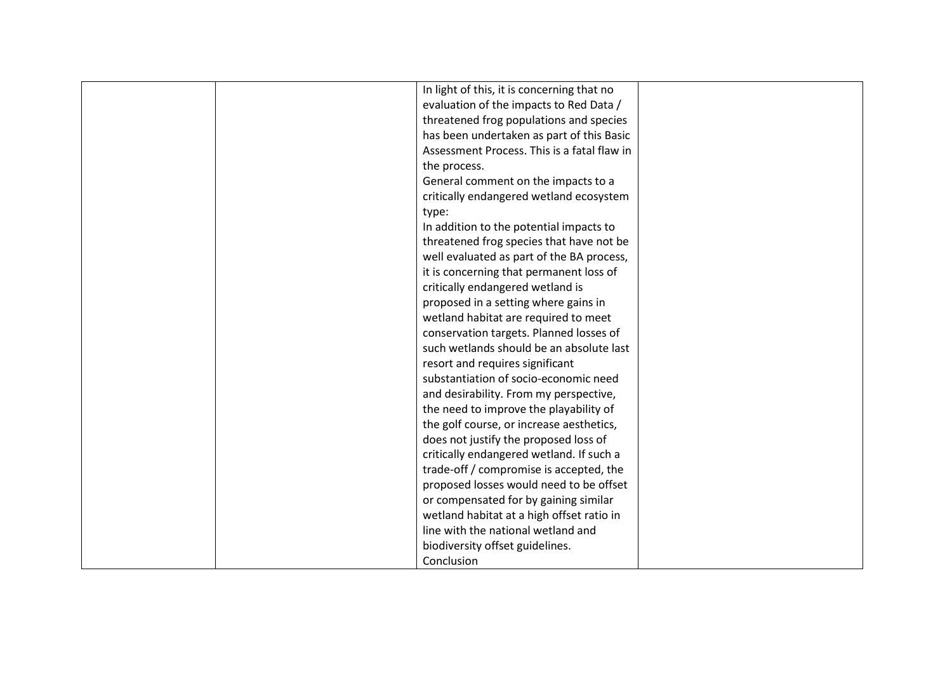|       | In light of this, it is concerning that no  |  |
|-------|---------------------------------------------|--|
|       | evaluation of the impacts to Red Data /     |  |
|       | threatened frog populations and species     |  |
|       | has been undertaken as part of this Basic   |  |
|       | Assessment Process. This is a fatal flaw in |  |
|       | the process.                                |  |
|       | General comment on the impacts to a         |  |
|       | critically endangered wetland ecosystem     |  |
| type: |                                             |  |
|       | In addition to the potential impacts to     |  |
|       | threatened frog species that have not be    |  |
|       | well evaluated as part of the BA process,   |  |
|       | it is concerning that permanent loss of     |  |
|       | critically endangered wetland is            |  |
|       | proposed in a setting where gains in        |  |
|       | wetland habitat are required to meet        |  |
|       | conservation targets. Planned losses of     |  |
|       | such wetlands should be an absolute last    |  |
|       | resort and requires significant             |  |
|       | substantiation of socio-economic need       |  |
|       | and desirability. From my perspective,      |  |
|       | the need to improve the playability of      |  |
|       | the golf course, or increase aesthetics,    |  |
|       | does not justify the proposed loss of       |  |
|       | critically endangered wetland. If such a    |  |
|       | trade-off / compromise is accepted, the     |  |
|       | proposed losses would need to be offset     |  |
|       | or compensated for by gaining similar       |  |
|       | wetland habitat at a high offset ratio in   |  |
|       | line with the national wetland and          |  |
|       | biodiversity offset guidelines.             |  |
|       | Conclusion                                  |  |
|       |                                             |  |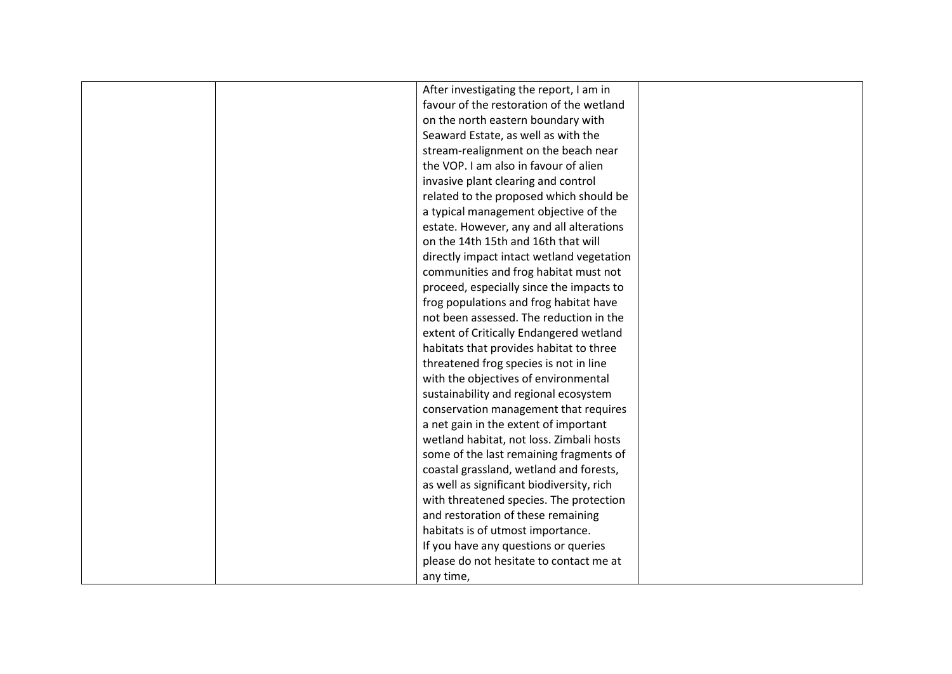| After investigating the report, I am in   |  |
|-------------------------------------------|--|
| favour of the restoration of the wetland  |  |
| on the north eastern boundary with        |  |
| Seaward Estate, as well as with the       |  |
| stream-realignment on the beach near      |  |
| the VOP. I am also in favour of alien     |  |
|                                           |  |
| invasive plant clearing and control       |  |
| related to the proposed which should be   |  |
| a typical management objective of the     |  |
| estate. However, any and all alterations  |  |
| on the 14th 15th and 16th that will       |  |
| directly impact intact wetland vegetation |  |
| communities and frog habitat must not     |  |
| proceed, especially since the impacts to  |  |
| frog populations and frog habitat have    |  |
| not been assessed. The reduction in the   |  |
| extent of Critically Endangered wetland   |  |
| habitats that provides habitat to three   |  |
| threatened frog species is not in line    |  |
| with the objectives of environmental      |  |
| sustainability and regional ecosystem     |  |
| conservation management that requires     |  |
| a net gain in the extent of important     |  |
| wetland habitat, not loss. Zimbali hosts  |  |
| some of the last remaining fragments of   |  |
| coastal grassland, wetland and forests,   |  |
| as well as significant biodiversity, rich |  |
| with threatened species. The protection   |  |
| and restoration of these remaining        |  |
| habitats is of utmost importance.         |  |
| If you have any questions or queries      |  |
|                                           |  |
| please do not hesitate to contact me at   |  |
| any time,                                 |  |